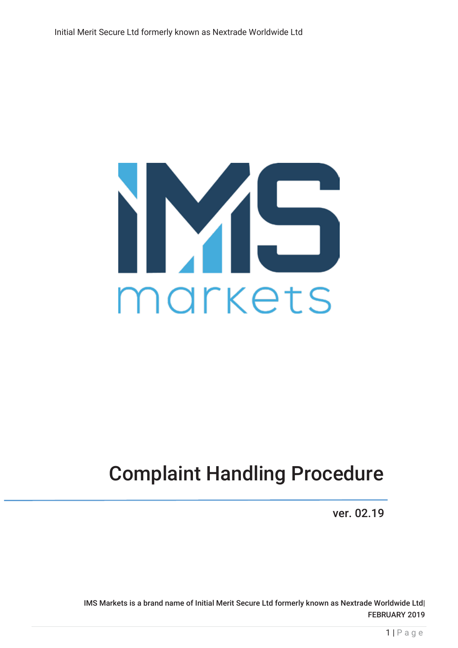

# Complaint Handling Procedure

ver. 02.19

IMS Markets is a brand name of Initial Merit Secure Ltd formerly known as Nextrade Worldwide Ltd| FEBRUARY 2019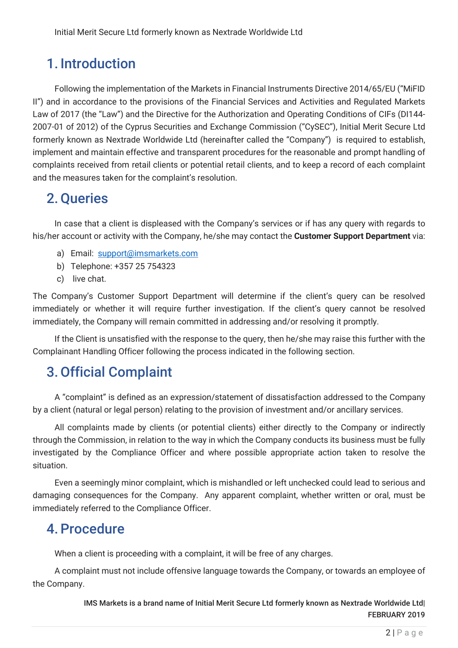# 1. Introduction

Following the implementation of the Markets in Financial Instruments Directive 2014/65/EU ("MiFID II") and in accordance to the provisions of the Financial Services and Activities and Regulated Markets Law of 2017 (the "Law") and the Directive for the Authorization and Operating Conditions of CIFs (DI144-2007-01 of 2012) of the Cyprus Securities and Exchange Commission ("CySEC"), Initial Merit Secure Ltd formerly known as Nextrade Worldwide Ltd (hereinafter called the "Company") is required to establish, implement and maintain effective and transparent procedures for the reasonable and prompt handling of complaints received from retail clients or potential retail clients, and to keep a record of each complaint and the measures taken for the complaint's resolution.

# 2.Queries

In case that a client is displeased with the Company's services or if has any query with regards to his/her account or activity with the Company, he/she may contact the **Customer Support Department** via:

- a) Email: support@imsmarkets.com
- b) Telephone: +357 25 754323
- c) live chat.

The Company's Customer Support Department will determine if the client's query can be resolved immediately or whether it will require further investigation. If the client's query cannot be resolved immediately, the Company will remain committed in addressing and/or resolving it promptly.

If the Client is unsatisfied with the response to the query, then he/she may raise this further with the Complainant Handling Officer following the process indicated in the following section.

### 3.Official Complaint

A "complaint" is defined as an expression/statement of dissatisfaction addressed to the Company by a client (natural or legal person) relating to the provision of investment and/or ancillary services.

All complaints made by clients (or potential clients) either directly to the Company or indirectly through the Commission, in relation to the way in which the Company conducts its business must be fully investigated by the Compliance Officer and where possible appropriate action taken to resolve the situation.

Even a seemingly minor complaint, which is mishandled or left unchecked could lead to serious and damaging consequences for the Company. Any apparent complaint, whether written or oral, must be immediately referred to the Compliance Officer.

### 4.Procedure

When a client is proceeding with a complaint, it will be free of any charges.

A complaint must not include offensive language towards the Company, or towards an employee of the Company.

> IMS Markets is a brand name of Initial Merit Secure Ltd formerly known as Nextrade Worldwide Ltd| FEBRUARY 2019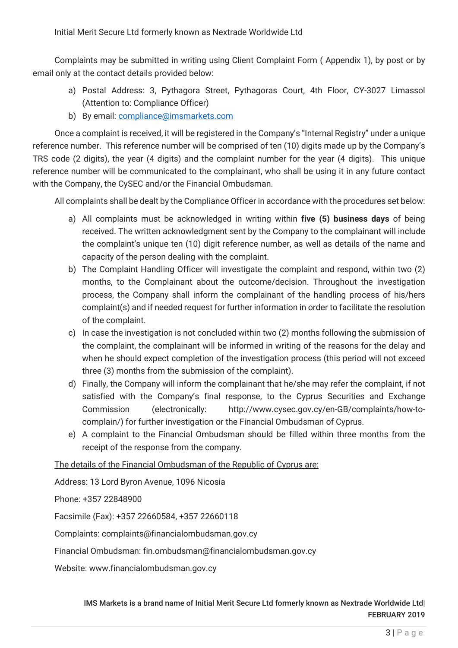Complaints may be submitted in writing using Client Complaint Form ( Appendix 1), by post or by email only at the contact details provided below:

- a) Postal Address: 3, Pythagora Street, Pythagoras Court, 4th Floor, CY-3027 Limassol (Attention to: Compliance Officer)
- b) By email: compliance@imsmarkets.com

Once a complaint is received, it will be registered in the Company's "Internal Registry" under a unique reference number. This reference number will be comprised of ten (10) digits made up by the Company's TRS code (2 digits), the year (4 digits) and the complaint number for the year (4 digits). This unique reference number will be communicated to the complainant, who shall be using it in any future contact with the Company, the CySEC and/or the Financial Ombudsman.

All complaints shall be dealt by the Compliance Officer in accordance with the procedures set below:

- a) All complaints must be acknowledged in writing within **five (5) business days** of being received. The written acknowledgment sent by the Company to the complainant will include the complaint's unique ten (10) digit reference number, as well as details of the name and capacity of the person dealing with the complaint.
- b) The Complaint Handling Officer will investigate the complaint and respond, within two (2) months, to the Complainant about the outcome/decision. Throughout the investigation process, the Company shall inform the complainant of the handling process of his/hers complaint(s) and if needed request for further information in order to facilitate the resolution of the complaint.
- c) In case the investigation is not concluded within two (2) months following the submission of the complaint, the complainant will be informed in writing of the reasons for the delay and when he should expect completion of the investigation process (this period will not exceed three (3) months from the submission of the complaint).
- d) Finally, the Company will inform the complainant that he/she may refer the complaint, if not satisfied with the Company's final response, to the Cyprus Securities and Exchange Commission (electronically: http://www.cysec.gov.cy/en-GB/complaints/how-tocomplain/) for further investigation or the Financial Ombudsman of Cyprus.
- e) A complaint to the Financial Ombudsman should be filled within three months from the receipt of the response from the company.

The details of the Financial Ombudsman of the Republic of Cyprus are:

Address: 13 Lord Byron Avenue, 1096 Nicosia

Phone: +357 22848900

Facsimile (Fax): +357 22660584, +357 22660118

Complaints: complaints@financialombudsman.gov.cy

Financial Ombudsman: fin.ombudsman@financialombudsman.gov.cy

Website: www.financialombudsman.gov.cy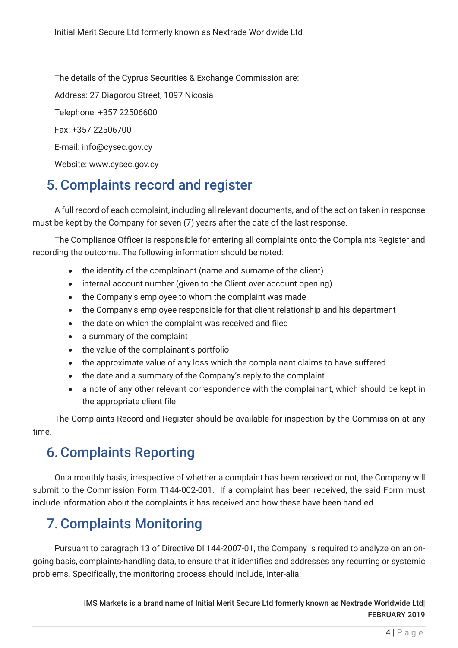The details of the Cyprus Securities & Exchange Commission are: Address: 27 Diagorou Street, 1097 Nicosia Telephone: +357 22506600 Fax: +357 22506700 E-mail: info@cysec.gov.cy Website: www.cysec.gov.cy

# 5.Complaints record and register

A full record of each complaint, including all relevant documents, and of the action taken in response must be kept by the Company for seven (7) years after the date of the last response.

The Compliance Officer is responsible for entering all complaints onto the Complaints Register and recording the outcome. The following information should be noted:

- the identity of the complainant (name and surname of the client)
- internal account number (given to the Client over account opening)
- the Company's employee to whom the complaint was made
- the Company's employee responsible for that client relationship and his department
- the date on which the complaint was received and filed
- a summary of the complaint
- the value of the complainant's portfolio
- the approximate value of any loss which the complainant claims to have suffered
- the date and a summary of the Company's reply to the complaint
- a note of any other relevant correspondence with the complainant, which should be kept in the appropriate client file

The Complaints Record and Register should be available for inspection by the Commission at any time.

### 6.Complaints Reporting

On a monthly basis, irrespective of whether a complaint has been received or not, the Company will submit to the Commission Form T144-002-001. If a complaint has been received, the said Form must include information about the complaints it has received and how these have been handled.

# 7.Complaints Monitoring

Pursuant to paragraph 13 of Directive DI 144-2007-01, the Company is required to analyze on an ongoing basis, complaints-handling data, to ensure that it identifies and addresses any recurring or systemic problems. Specifically, the monitoring process should include, inter-alia:

> IMS Markets is a brand name of Initial Merit Secure Ltd formerly known as Nextrade Worldwide Ltd| FEBRUARY 2019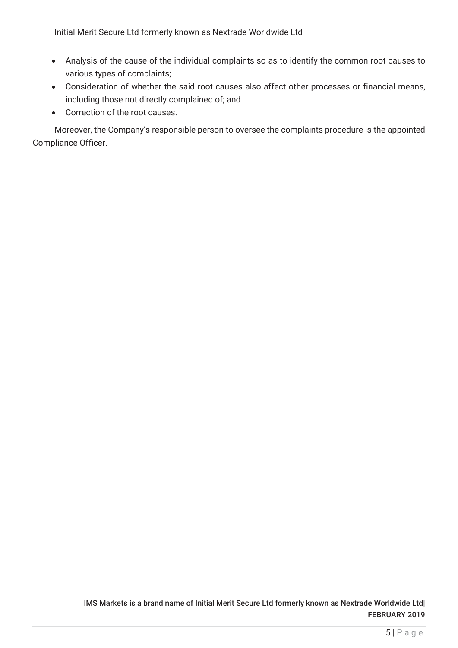Initial Merit Secure Ltd formerly known as Nextrade Worldwide Ltd

- Analysis of the cause of the individual complaints so as to identify the common root causes to various types of complaints;
- Consideration of whether the said root causes also affect other processes or financial means, including those not directly complained of; and
- Correction of the root causes.

Moreover, the Company's responsible person to oversee the complaints procedure is the appointed Compliance Officer.